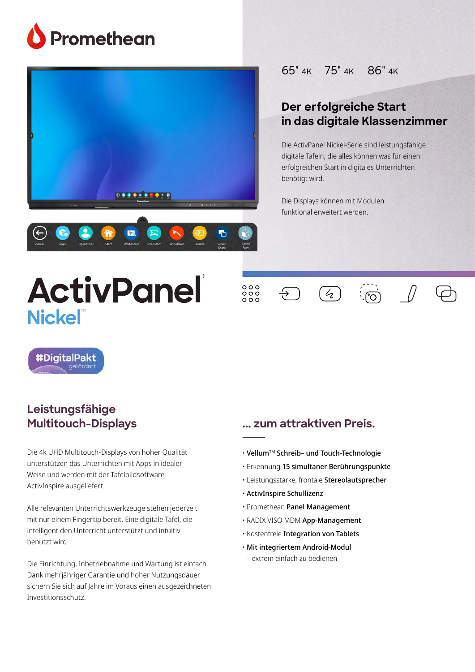





## 65" 4K 75" 4K 86" 4K

# **Our most powerful, Der erfolgreiche Start teacher-friendly in das digitale Klassenzimmer**

**classroom solution** Die ActivPanel Nickel-Serie sind leistungsfähige digitale Tafeln, die alles können was für einen erfolgreichen Start in digitales Unterrichten seamless, integrated, and interactive benötigt wird.

with engaging and interactive tools, the Die Displays können mit Modulen<br>Die Displays können mit Modulen funktional erweitert werden.

 $\overline{4}$ 

# **ActivPanel Nickel**



 $\overline{\div}$ 





#DigitalPakt

### The ActivPanel Titanium delivers a revolutionary new user **Multitouch-Displays Leistungsfähige**

**A unified menu for seamless**

Die 4k UHD Multitouch-Displays von hoher Qualität to move manually between content and resources with and resources with and resources with  $\frac{1}{2}$ unterstützen das Unterrichten mit Apps in idealer Weise und werden mit der Tafelbildsoftware ActivInspire ausgeliefert.

right at teachers' fingertips and within natural line of sight.

**A writing experience**  mit nur einem Fingertip bereit. Eine digitale Tafel, die **without limitations** intelligent den Unterricht unterstützt und intuitiv Alle relevanten Unterrichtswerkzeuge stehen jederzeit benutzt wird.

Die Einrichtung, Inbetriebnahme und Wartung ist einfach. are emittentially, indettic britishing and transmittations, enablished in Dank mehrjähriger Garantie und hoher Nutzungsdauer sichern Sie sich auf Jahre im Voraus einen ausgezeichneten Investitionsschutz.

### **... zum attraktiven Preis.** Whiteboard app to instantly supplement lessons. Draw, the instantly supplement lessons. Draw, the instantly supplement of the instantly supplement of the instantly supplement of the instantly supplement of the instantly su

- $\cdot$  Vellum™ Schreib– und Touch-Technologie
- Erkennung 15 simultaner Berührungspunkte
- **Tested and built for IT support** Leistungsstarke, frontale Stereolautsprecher
- ActivInspire Schullizenz
- **and security** Promethean Panel Management
- $\cdot$  RADIX VISO MDM **App-Management**
- Kostenfreie Integration von Tablets
- ∙ Mit integriertem Android-Modul when reception continuum order who day – extrem einfach zu bedienen